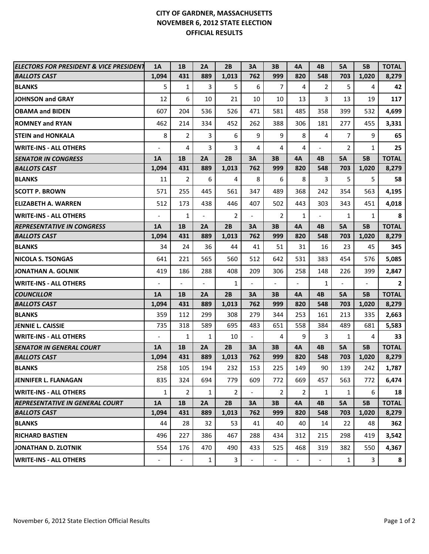## **CITY OF GARDNER, MASSACHUSETTS NOVEMBER 6, 2012 STATE ELECTION OFFICIAL RESULTS**

| <b>ELECTORS FOR PRESIDENT &amp; VICE PRESIDENT</b> | <b>1A</b>                | 1B                       | 2A                       | 2B             | 3A                       | 3B             | 4Α                       | 4B                       | <b>5A</b>      | <b>5B</b>      | <b>TOTAL</b>   |
|----------------------------------------------------|--------------------------|--------------------------|--------------------------|----------------|--------------------------|----------------|--------------------------|--------------------------|----------------|----------------|----------------|
| <b>BALLOTS CAST</b>                                | 1,094                    | 431                      | 889                      | 1,013          | 762                      | 999            | 820                      | 548                      | 703            | 1,020          | 8,279          |
| <b>BLANKS</b>                                      | 5                        | 1                        | 3                        | 5              | 6                        | 7              | 4                        | 2                        | 5              | 4              | 42             |
| JOHNSON and GRAY                                   | 12                       | 6                        | 10                       | 21             | 10                       | 10             | 13                       | 3                        | 13             | 19             | 117            |
| <b>OBAMA and BIDEN</b>                             | 607                      | 204                      | 536                      | 526            | 471                      | 581            | 485                      | 358                      | 399            | 532            | 4,699          |
| <b>ROMNEY and RYAN</b>                             | 462                      | 214                      | 334                      | 452            | 262                      | 388            | 306                      | 181                      | 277            | 455            | 3,331          |
| <b>STEIN and HONKALA</b>                           | 8                        | $\overline{2}$           | 3                        | 6              | 9                        | 9              | 8                        | 4                        | $\overline{7}$ | 9              | 65             |
| <b>IWRITE-INS - ALL OTHERS</b>                     |                          | 4                        | 3                        | 3              | 4                        | 4              | 4                        | $\overline{\phantom{0}}$ | $\overline{2}$ | $\mathbf{1}$   | 25             |
| <b>SENATOR IN CONGRESS</b>                         | <b>1A</b>                | 1B                       | 2A                       | 2B             | 3A                       | 3B             | 4A                       | 4B                       | <b>5A</b>      | <b>5B</b>      | <b>TOTAL</b>   |
| <b>BALLOTS CAST</b>                                | 1,094                    | 431                      | 889                      | 1,013          | 762                      | 999            | 820                      | 548                      | 703            | 1,020          | 8,279          |
| <b>BLANKS</b>                                      | 11                       | 2                        | 6                        | 4              | 8                        | 6              | 8                        | 3                        | 5              | 5              | 58             |
| <b>SCOTT P. BROWN</b>                              | 571                      | 255                      | 445                      | 561            | 347                      | 489            | 368                      | 242                      | 354            | 563            | 4,195          |
| <b>IELIZABETH A. WARREN</b>                        | 512                      | 173                      | 438                      | 446            | 407                      | 502            | 443                      | 303                      | 343            | 451            | 4,018          |
| <b>WRITE-INS - ALL OTHERS</b>                      |                          | $\mathbf{1}$             | $\overline{\phantom{a}}$ | $\overline{2}$ |                          | $\overline{2}$ | $\mathbf{1}$             | $\overline{\phantom{a}}$ | $\mathbf{1}$   | $\mathbf{1}$   | 8              |
| <b>REPRESENTATIVE IN CONGRESS</b>                  | 1A                       | 1B                       | 2A                       | 2B             | 3A                       | 3B             | 4A                       | 4B                       | <b>5A</b>      | <b>5B</b>      | <b>TOTAL</b>   |
| <b>BALLOTS CAST</b>                                | 1,094                    | 431                      | 889                      | 1,013          | 762                      | 999            | 820                      | 548                      | 703            | 1,020          | 8,279          |
| <b>BLANKS</b>                                      | 34                       | 24                       | 36                       | 44             | 41                       | 51             | 31                       | 16                       | 23             | 45             | 345            |
| <b>NICOLA S. TSONGAS</b>                           | 641                      | 221                      | 565                      | 560            | 512                      | 642            | 531                      | 383                      | 454            | 576            | 5,085          |
| <b>JONATHAN A. GOLNIK</b>                          | 419                      | 186                      | 288                      | 408            | 209                      | 306            | 258                      | 148                      | 226            | 399            | 2,847          |
| <b>WRITE-INS - ALL OTHERS</b>                      |                          |                          | $\overline{a}$           | 1              |                          |                | $\overline{\phantom{a}}$ | $\mathbf{1}$             |                | $\overline{a}$ | $\overline{2}$ |
| <b>COUNCILLOR</b>                                  | 1A                       | 1B                       | 2A                       | 2B             | 3A                       | 3B             | 4A                       | 4B                       | <b>5A</b>      | <b>5B</b>      | <b>TOTAL</b>   |
| <b>BALLOTS CAST</b>                                | 1,094                    | 431                      | 889                      | 1,013          | 762                      | 999            | 820                      | 548                      | 703            | 1,020          | 8,279          |
| <b>BLANKS</b>                                      | 359                      | 112                      | 299                      | 308            | 279                      | 344            | 253                      | 161                      | 213            | 335            | 2,663          |
| <b>JENNIE L. CAISSIE</b>                           | 735                      | 318                      | 589                      | 695            | 483                      | 651            | 558                      | 384                      | 489            | 681            | 5,583          |
| <b>WRITE-INS - ALL OTHERS</b>                      | $\overline{\phantom{a}}$ | 1                        | $\mathbf{1}$             | 10             | $\overline{\phantom{a}}$ | 4              | 9                        | 3                        | $\mathbf{1}$   | 4              | 33             |
| SENATOR IN GENERAL COURT                           | 1A                       | 1B                       | 2A                       | 2B             | 3A                       | 3B             | 4A                       | 4B                       | <b>5A</b>      | <b>5B</b>      | <b>TOTAL</b>   |
| <b>BALLOTS CAST</b>                                | 1,094                    | 431                      | 889                      | 1,013          | 762                      | 999            | 820                      | 548                      | 703            | 1,020          | 8,279          |
| <b>BLANKS</b>                                      | 258                      | 105                      | 194                      | 232            | 153                      | 225            | 149                      | 90                       | 139            | 242            | 1,787          |
| <b>JENNIFER L. FLANAGAN</b>                        | 835                      | 324                      | 694                      | 779            | 609                      | 772            | 669                      | 457                      | 563            | 772            | 6,474          |
| <b>IWRITE-INS - ALL OTHERS</b>                     | $\mathbf{1}$             | $\overline{2}$           | $\mathbf{1}$             | $\overline{2}$ |                          | $\overline{2}$ | $\overline{2}$           | $\mathbf{1}$             | $\mathbf{1}$   | 6              | 18             |
| <b>REPRESENTATIVE IN GENERAL COURT</b>             | <b>1A</b>                | 1B                       | 2A                       | 2B             | 3A                       | 3B             | 4A                       | 4B                       | <b>5A</b>      | <b>5B</b>      | <b>TOTAL</b>   |
| <b>BALLOTS CAST</b>                                | 1,094                    | 431                      | 889                      | 1,013          | 762                      | 999            | 820                      | 548                      | 703            | 1,020          | 8,279          |
| <b>BLANKS</b>                                      | 44                       | 28                       | 32                       | 53             | 41                       | 40             | 40                       | 14                       | 22             | 48             | 362            |
| <b>RICHARD BASTIEN</b>                             | 496                      | 227                      | 386                      | 467            | 288                      | 434            | 312                      | 215                      | 298            | 419            | 3,542          |
| JONATHAN D. ZLOTNIK                                | 554                      | 176                      | 470                      | 490            | 433                      | 525            | 468                      | 319                      | 382            | 550            | 4,367          |
| <b>IWRITE-INS - ALL OTHERS</b>                     | $\overline{\phantom{a}}$ | $\overline{\phantom{a}}$ | $\mathbf{1}$             | 3              |                          |                | $\overline{\phantom{a}}$ | $\overline{\phantom{a}}$ | $\mathbf{1}$   | 3              | 8              |